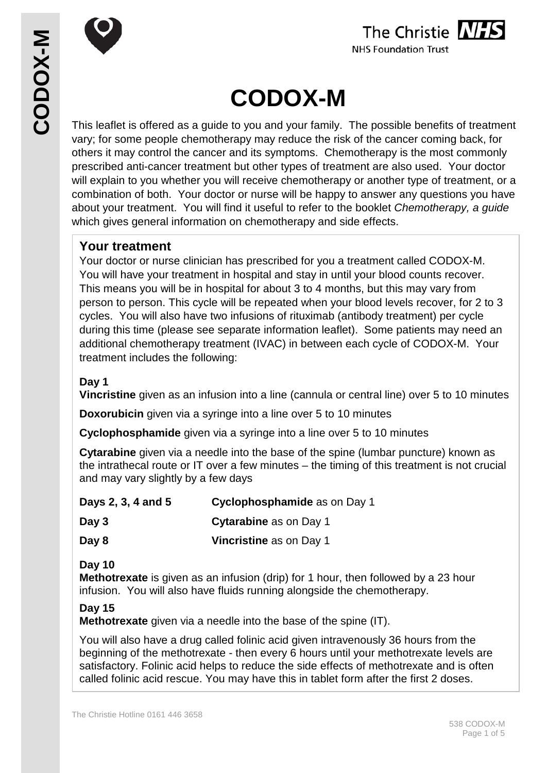



# **CODOX-M**

This leaflet is offered as a guide to you and your family. The possible benefits of treatment vary; for some people chemotherapy may reduce the risk of the cancer coming back, for others it may control the cancer and its symptoms. Chemotherapy is the most commonly prescribed anti-cancer treatment but other types of treatment are also used. Your doctor will explain to you whether you will receive chemotherapy or another type of treatment, or a combination of both. Your doctor or nurse will be happy to answer any questions you have about your treatment. You will find it useful to refer to the booklet *Chemotherapy, a guide* which gives general information on chemotherapy and side effects.

## **Your treatment**

Your doctor or nurse clinician has prescribed for you a treatment called CODOX-M. You will have your treatment in hospital and stay in until your blood counts recover. This means you will be in hospital for about 3 to 4 months, but this may vary from person to person. This cycle will be repeated when your blood levels recover, for 2 to 3 cycles. You will also have two infusions of rituximab (antibody treatment) per cycle during this time (please see separate information leaflet). Some patients may need an additional chemotherapy treatment (IVAC) in between each cycle of CODOX-M. Your treatment includes the following:

### **Day 1**

**Vincristine** given as an infusion into a line (cannula or central line) over 5 to 10 minutes

**Doxorubicin** given via a syringe into a line over 5 to 10 minutes

**Cyclophosphamide** given via a syringe into a line over 5 to 10 minutes

**Cytarabine** given via a needle into the base of the spine (lumbar puncture) known as the intrathecal route or IT over a few minutes – the timing of this treatment is not crucial and may vary slightly by a few days

| Days 2, 3, 4 and 5 | Cyclophosphamide as on Day 1   |
|--------------------|--------------------------------|
| Day 3              | <b>Cytarabine</b> as on Day 1  |
| Day 8              | <b>Vincristine</b> as on Day 1 |

#### **Day 10**

**Methotrexate** is given as an infusion (drip) for 1 hour, then followed by a 23 hour infusion. You will also have fluids running alongside the chemotherapy.

## **Day 15**

**Methotrexate** given via a needle into the base of the spine (IT).

You will also have a drug called folinic acid given intravenously 36 hours from the beginning of the methotrexate - then every 6 hours until your methotrexate levels are satisfactory. Folinic acid helps to reduce the side effects of methotrexate and is often called folinic acid rescue. You may have this in tablet form after the first 2 doses.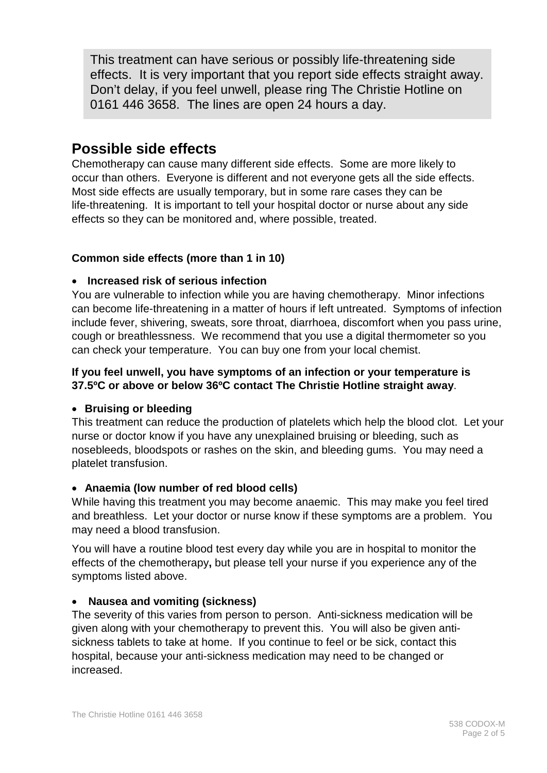This treatment can have serious or possibly life-threatening side effects. It is very important that you report side effects straight away. Don't delay, if you feel unwell, please ring The Christie Hotline on 0161 446 3658. The lines are open 24 hours a day.

# **Possible side effects**

Chemotherapy can cause many different side effects. Some are more likely to occur than others. Everyone is different and not everyone gets all the side effects. Most side effects are usually temporary, but in some rare cases they can be life-threatening. It is important to tell your hospital doctor or nurse about any side effects so they can be monitored and, where possible, treated.

#### **Common side effects (more than 1 in 10)**

#### • **Increased risk of serious infection**

You are vulnerable to infection while you are having chemotherapy. Minor infections can become life-threatening in a matter of hours if left untreated. Symptoms of infection include fever, shivering, sweats, sore throat, diarrhoea, discomfort when you pass urine, cough or breathlessness. We recommend that you use a digital thermometer so you can check your temperature. You can buy one from your local chemist.

#### **If you feel unwell, you have symptoms of an infection or your temperature is 37.5ºC or above or below 36ºC contact The Christie Hotline straight away**.

#### • **Bruising or bleeding**

This treatment can reduce the production of platelets which help the blood clot. Let your nurse or doctor know if you have any unexplained bruising or bleeding, such as nosebleeds, bloodspots or rashes on the skin, and bleeding gums. You may need a platelet transfusion.

#### • **Anaemia (low number of red blood cells)**

While having this treatment you may become anaemic. This may make you feel tired and breathless. Let your doctor or nurse know if these symptoms are a problem. You may need a blood transfusion.

You will have a routine blood test every day while you are in hospital to monitor the effects of the chemotherapy**,** but please tell your nurse if you experience any of the symptoms listed above.

#### • **Nausea and vomiting (sickness)**

The severity of this varies from person to person. Anti-sickness medication will be given along with your chemotherapy to prevent this. You will also be given antisickness tablets to take at home. If you continue to feel or be sick, contact this hospital, because your anti-sickness medication may need to be changed or increased.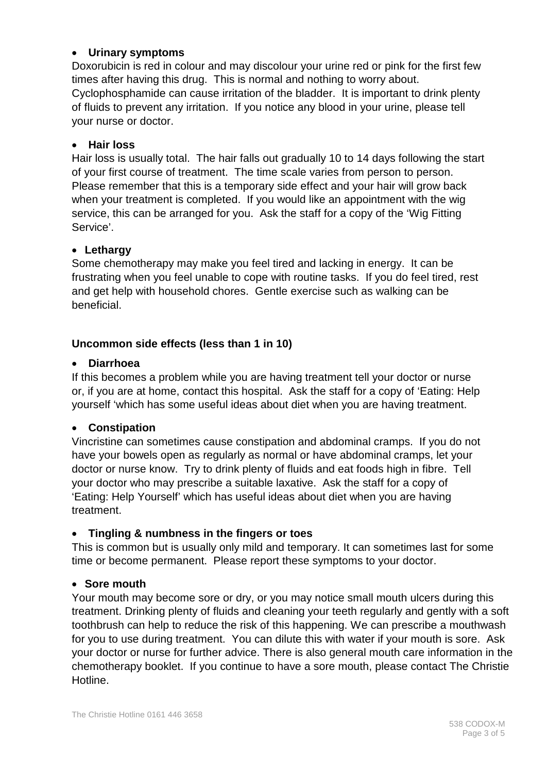#### • **Urinary symptoms**

Doxorubicin is red in colour and may discolour your urine red or pink for the first few times after having this drug. This is normal and nothing to worry about. Cyclophosphamide can cause irritation of the bladder. It is important to drink plenty of fluids to prevent any irritation. If you notice any blood in your urine, please tell your nurse or doctor.

#### • **Hair loss**

Hair loss is usually total. The hair falls out gradually 10 to 14 days following the start of your first course of treatment. The time scale varies from person to person. Please remember that this is a temporary side effect and your hair will grow back when your treatment is completed. If you would like an appointment with the wig service, this can be arranged for you. Ask the staff for a copy of the 'Wig Fitting Service'.

#### • **Lethargy**

Some chemotherapy may make you feel tired and lacking in energy. It can be frustrating when you feel unable to cope with routine tasks. If you do feel tired, rest and get help with household chores. Gentle exercise such as walking can be beneficial.

#### **Uncommon side effects (less than 1 in 10)**

#### • **Diarrhoea**

If this becomes a problem while you are having treatment tell your doctor or nurse or, if you are at home, contact this hospital. Ask the staff for a copy of 'Eating: Help yourself 'which has some useful ideas about diet when you are having treatment.

#### • **Constipation**

Vincristine can sometimes cause constipation and abdominal cramps. If you do not have your bowels open as regularly as normal or have abdominal cramps, let your doctor or nurse know. Try to drink plenty of fluids and eat foods high in fibre. Tell your doctor who may prescribe a suitable laxative. Ask the staff for a copy of 'Eating: Help Yourself' which has useful ideas about diet when you are having treatment.

#### • **Tingling & numbness in the fingers or toes**

This is common but is usually only mild and temporary. It can sometimes last for some time or become permanent. Please report these symptoms to your doctor.

#### • **Sore mouth**

Your mouth may become sore or dry, or you may notice small mouth ulcers during this treatment. Drinking plenty of fluids and cleaning your teeth regularly and gently with a soft toothbrush can help to reduce the risk of this happening. We can prescribe a mouthwash for you to use during treatment. You can dilute this with water if your mouth is sore. Ask your doctor or nurse for further advice. There is also general mouth care information in the chemotherapy booklet. If you continue to have a sore mouth, please contact The Christie Hotline.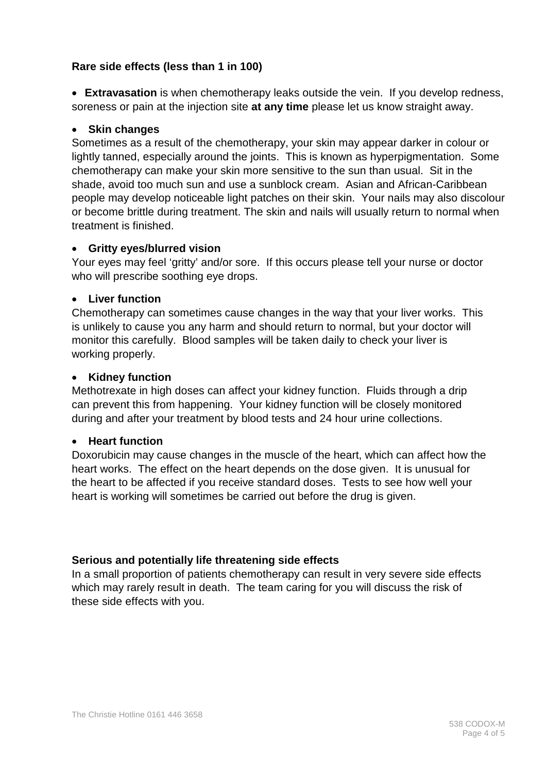#### **Rare side effects (less than 1 in 100)**

• **Extravasation** is when chemotherapy leaks outside the vein. If you develop redness, soreness or pain at the injection site **at any time** please let us know straight away.

#### • **Skin changes**

Sometimes as a result of the chemotherapy, your skin may appear darker in colour or lightly tanned, especially around the joints. This is known as hyperpigmentation. Some chemotherapy can make your skin more sensitive to the sun than usual. Sit in the shade, avoid too much sun and use a sunblock cream. Asian and African-Caribbean people may develop noticeable light patches on their skin. Your nails may also discolour or become brittle during treatment. The skin and nails will usually return to normal when treatment is finished.

#### • **Gritty eyes/blurred vision**

Your eyes may feel 'gritty' and/or sore. If this occurs please tell your nurse or doctor who will prescribe soothing eye drops.

#### • **Liver function**

Chemotherapy can sometimes cause changes in the way that your liver works. This is unlikely to cause you any harm and should return to normal, but your doctor will monitor this carefully. Blood samples will be taken daily to check your liver is working properly.

#### • **Kidney function**

Methotrexate in high doses can affect your kidney function. Fluids through a drip can prevent this from happening. Your kidney function will be closely monitored during and after your treatment by blood tests and 24 hour urine collections.

#### • **Heart function**

Doxorubicin may cause changes in the muscle of the heart, which can affect how the heart works. The effect on the heart depends on the dose given. It is unusual for the heart to be affected if you receive standard doses. Tests to see how well your heart is working will sometimes be carried out before the drug is given.

#### **Serious and potentially life threatening side effects**

In a small proportion of patients chemotherapy can result in very severe side effects which may rarely result in death. The team caring for you will discuss the risk of these side effects with you.